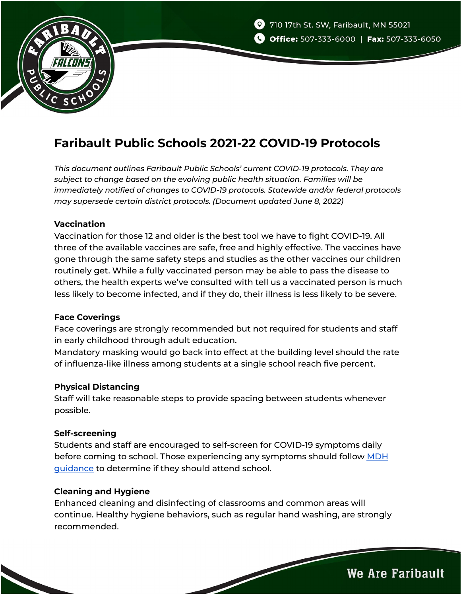



# **Faribault Public Schools 2021-22 COVID-19 Protocols**

*This document outlines Faribault Public Schools' current COVID-19 protocols. They are subject to change based on the evolving public health situation. Families will be immediately notified of changes to COVID-19 protocols. Statewide and/or federal protocols may supersede certain district protocols. (Document updated June 8, 2022)*

## **Vaccination**

Vaccination for those 12 and older is the best tool we have to fight COVID-19. All three of the available vaccines are safe, free and highly effective. The vaccines have gone through the same safety steps and studies as the other vaccines our children routinely get. While a fully vaccinated person may be able to pass the disease to others, the health experts we've consulted with tell us a vaccinated person is much less likely to become infected, and if they do, their illness is less likely to be severe.

## **Face Coverings**

Face coverings are strongly recommended but not required for students and staff in early childhood through adult education.

Mandatory masking would go back into effect at the building level should the rate of influenza-like illness among students at a single school reach five percent.

## **Physical Distancing**

Staff will take reasonable steps to provide spacing between students whenever possible.

## **Self-screening**

Students and staff are encouraged to self-screen for COVID-19 symptoms daily before coming to school. Those experiencing any symptoms should follow [MDH](https://www.health.state.mn.us/diseases/coronavirus/schools/youthiso.pdf) [guidance](https://www.health.state.mn.us/diseases/coronavirus/schools/youthiso.pdf) to determine if they should attend school.

## **Cleaning and Hygiene**

Enhanced cleaning and disinfecting of classrooms and common areas will continue. Healthy hygiene behaviors, such as regular hand washing, are strongly recommended.